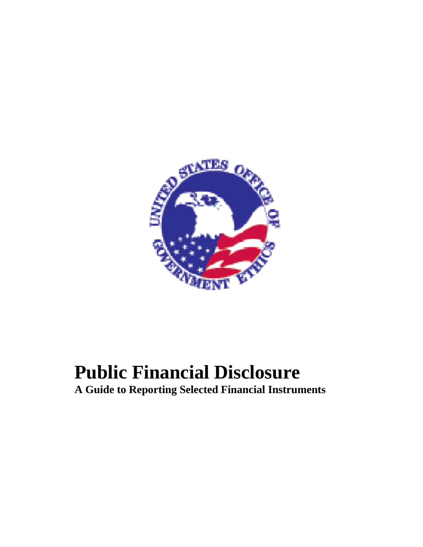

# **Public Financial Disclosure**

**A Guide to Reporting Selected Financial Instruments**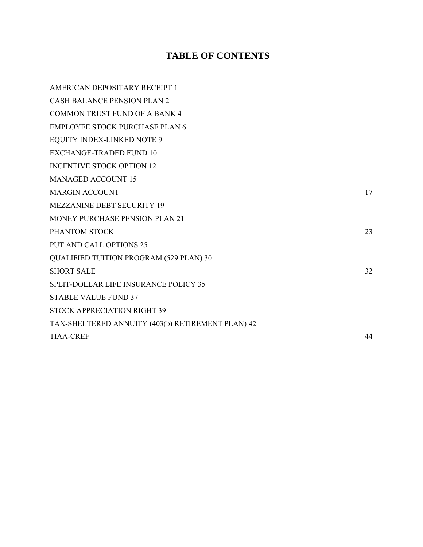## **TABLE OF CONTENTS**

| AMERICAN DEPOSITARY RECEIPT 1                     |    |
|---------------------------------------------------|----|
| <b>CASH BALANCE PENSION PLAN 2</b>                |    |
| <b>COMMON TRUST FUND OF A BANK 4</b>              |    |
| <b>EMPLOYEE STOCK PURCHASE PLAN 6</b>             |    |
| <b>EQUITY INDEX-LINKED NOTE 9</b>                 |    |
| <b>EXCHANGE-TRADED FUND 10</b>                    |    |
| <b>INCENTIVE STOCK OPTION 12</b>                  |    |
| <b>MANAGED ACCOUNT 15</b>                         |    |
| <b>MARGIN ACCOUNT</b>                             | 17 |
| <b>MEZZANINE DEBT SECURITY 19</b>                 |    |
| <b>MONEY PURCHASE PENSION PLAN 21</b>             |    |
| PHANTOM STOCK                                     | 23 |
| <b>PUT AND CALL OPTIONS 25</b>                    |    |
| <b>QUALIFIED TUITION PROGRAM (529 PLAN) 30</b>    |    |
| <b>SHORT SALE</b>                                 | 32 |
| <b>SPLIT-DOLLAR LIFE INSURANCE POLICY 35</b>      |    |
| <b>STABLE VALUE FUND 37</b>                       |    |
| <b>STOCK APPRECIATION RIGHT 39</b>                |    |
| TAX-SHELTERED ANNUITY (403(b) RETIREMENT PLAN) 42 |    |
| <b>TIAA-CREF</b>                                  | 44 |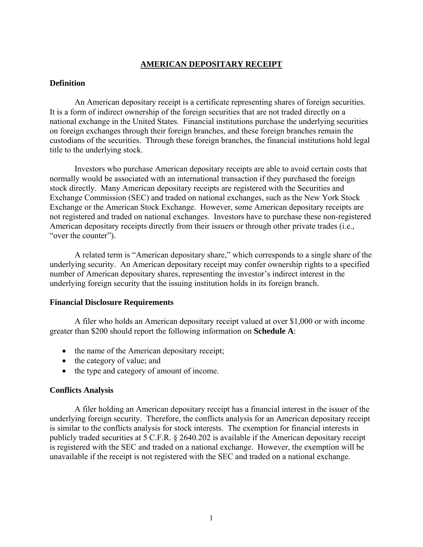## **AMERICAN DEPOSITARY RECEIPT**

#### <span id="page-2-0"></span>**Definition**

An American depositary receipt is a certificate representing shares of foreign securities. It is a form of indirect ownership of the foreign securities that are not traded directly on a national exchange in the United States. Financial institutions purchase the underlying securities on foreign exchanges through their foreign branches, and these foreign branches remain the custodians of the securities. Through these foreign branches, the financial institutions hold legal title to the underlying stock.

Investors who purchase American depositary receipts are able to avoid certain costs that normally would be associated with an international transaction if they purchased the foreign stock directly. Many American depositary receipts are registered with the Securities and Exchange Commission (SEC) and traded on national exchanges, such as the New York Stock Exchange or the American Stock Exchange. However, some American depositary receipts are not registered and traded on national exchanges. Investors have to purchase these non-registered American depositary receipts directly from their issuers or through other private trades (i.e., "over the counter").

A related term is "American depositary share," which corresponds to a single share of the underlying security. An American depositary receipt may confer ownership rights to a specified number of American depositary shares, representing the investor's indirect interest in the underlying foreign security that the issuing institution holds in its foreign branch.

#### **Financial Disclosure Requirements**

A filer who holds an American depositary receipt valued at over \$1,000 or with income greater than \$200 should report the following information on **Schedule A**:

- the name of the American depositary receipt;
- the category of value; and
- the type and category of amount of income.

#### **Conflicts Analysis**

A filer holding an American depositary receipt has a financial interest in the issuer of the underlying foreign security. Therefore, the conflicts analysis for an American depositary receipt is similar to the conflicts analysis for stock interests. The exemption for financial interests in publicly traded securities at 5 C.F.R. § 2640.202 is available if the American depositary receipt is registered with the SEC and traded on a national exchange. However, the exemption will be unavailable if the receipt is not registered with the SEC and traded on a national exchange.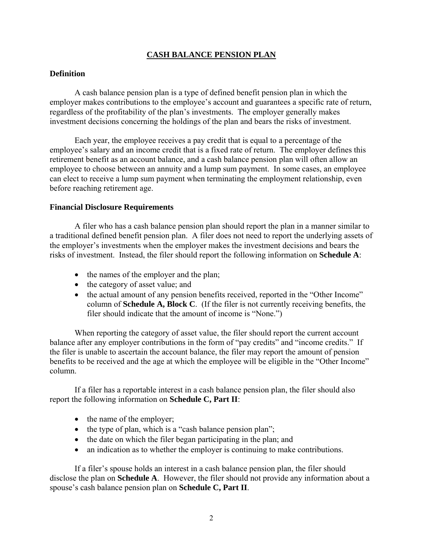## **CASH BALANCE PENSION PLAN**

#### <span id="page-3-0"></span>**Definition**

A cash balance pension plan is a type of defined benefit pension plan in which the employer makes contributions to the employee's account and guarantees a specific rate of return, regardless of the profitability of the plan's investments. The employer generally makes investment decisions concerning the holdings of the plan and bears the risks of investment.

Each year, the employee receives a pay credit that is equal to a percentage of the employee's salary and an income credit that is a fixed rate of return. The employer defines this retirement benefit as an account balance, and a cash balance pension plan will often allow an employee to choose between an annuity and a lump sum payment. In some cases, an employee can elect to receive a lump sum payment when terminating the employment relationship, even before reaching retirement age.

#### **Financial Disclosure Requirements**

A filer who has a cash balance pension plan should report the plan in a manner similar to a traditional defined benefit pension plan. A filer does not need to report the underlying assets of the employer's investments when the employer makes the investment decisions and bears the risks of investment. Instead, the filer should report the following information on **Schedule A**:

- the names of the employer and the plan;
- the category of asset value; and
- the actual amount of any pension benefits received, reported in the "Other Income" column of **Schedule A, Block C**. (If the filer is not currently receiving benefits, the filer should indicate that the amount of income is "None.")

When reporting the category of asset value, the filer should report the current account balance after any employer contributions in the form of "pay credits" and "income credits." If the filer is unable to ascertain the account balance, the filer may report the amount of pension benefits to be received and the age at which the employee will be eligible in the "Other Income" column.

If a filer has a reportable interest in a cash balance pension plan, the filer should also report the following information on **Schedule C, Part II**:

- the name of the employer;
- the type of plan, which is a "cash balance pension plan";
- the date on which the filer began participating in the plan; and
- an indication as to whether the employer is continuing to make contributions.

If a filer's spouse holds an interest in a cash balance pension plan, the filer should disclose the plan on **Schedule A**. However, the filer should not provide any information about a spouse's cash balance pension plan on **Schedule C, Part II**.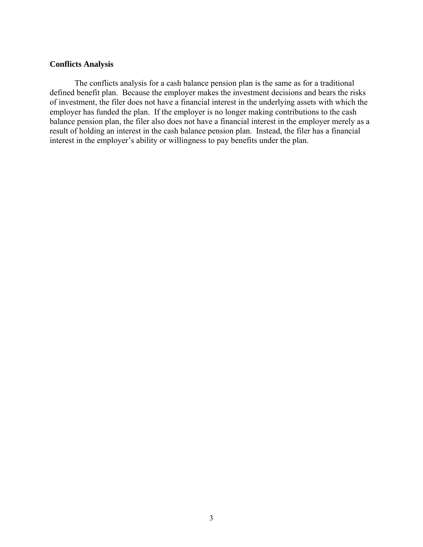#### **Conflicts Analysis**

The conflicts analysis for a cash balance pension plan is the same as for a traditional defined benefit plan. Because the employer makes the investment decisions and bears the risks of investment, the filer does not have a financial interest in the underlying assets with which the employer has funded the plan. If the employer is no longer making contributions to the cash balance pension plan, the filer also does not have a financial interest in the employer merely as a result of holding an interest in the cash balance pension plan. Instead, the filer has a financial interest in the employer's ability or willingness to pay benefits under the plan.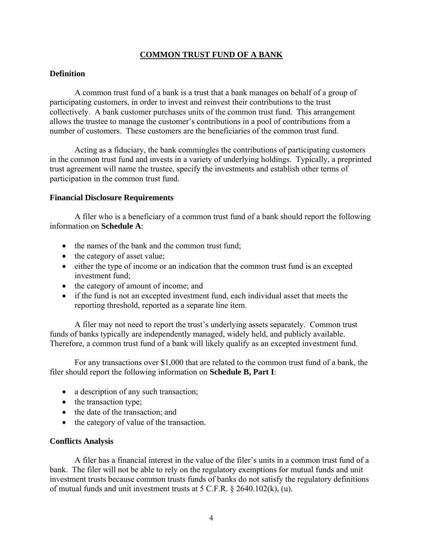## **COMMON TRUST FUND OF A BANK**

## <span id="page-5-0"></span>**Definition**

A common trust fund of a bank is a trust that a bank manages on behalf of a group of participating customers, in order to invest and reinvest their contributions to the trust collectively. A bank customer purchases units of the common trust fund. This arrangement allows the trustee to manage the customer's contributions in a pool of contributions from a number of customers. These customers are the beneficiaries of the common trust fund.

Acting as a fiduciary, the bank commingles the contributions of participating customers in the common trust fund and invests in a variety of underlying holdings. Typically, a preprinted trust agreement will name the trustee, specify the investments and establish other terms of participation in the common trust fund.

#### **Financial Disclosure Requirements**

A filer who is a beneficiary of a common trust fund of a bank should report the following information on **Schedule A**:

- the names of the bank and the common trust fund;
- the category of asset value;
- either the type of income or an indication that the common trust fund is an excepted investment fund<sup>-</sup>
- the category of amount of income; and
- if the fund is not an excepted investment fund, each individual asset that meets the reporting threshold, reported as a separate line item.

A filer may not need to report the trust's underlying assets separately. Common trust funds of banks typically are independently managed, widely held, and publicly available. Therefore, a common trust fund of a bank will likely qualify as an excepted investment fund.

For any transactions over \$1,000 that are related to the common trust fund of a bank, the filer should report the following information on **Schedule B, Part I**:

- a description of any such transaction;
- the transaction type;
- the date of the transaction; and
- the category of value of the transaction.

#### **Conflicts Analysis**

A filer has a financial interest in the value of the filer's units in a common trust fund of a bank. The filer will not be able to rely on the regulatory exemptions for mutual funds and unit investment trusts because common trusts funds of banks do not satisfy the regulatory definitions of mutual funds and unit investment trusts at 5 C.F.R. § 2640.102(k), (u).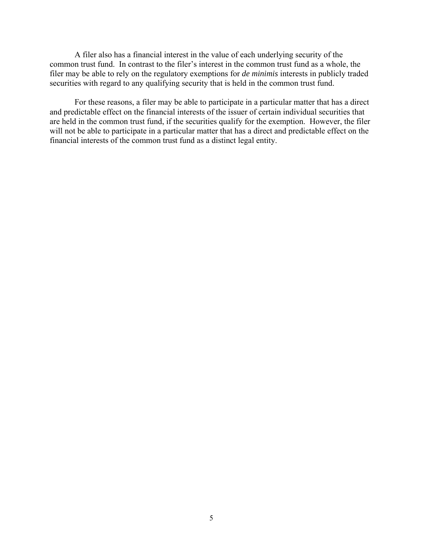A filer also has a financial interest in the value of each underlying security of the common trust fund. In contrast to the filer's interest in the common trust fund as a whole, the filer may be able to rely on the regulatory exemptions for *de minimis* interests in publicly traded securities with regard to any qualifying security that is held in the common trust fund.

For these reasons, a filer may be able to participate in a particular matter that has a direct and predictable effect on the financial interests of the issuer of certain individual securities that are held in the common trust fund, if the securities qualify for the exemption. However, the filer will not be able to participate in a particular matter that has a direct and predictable effect on the financial interests of the common trust fund as a distinct legal entity.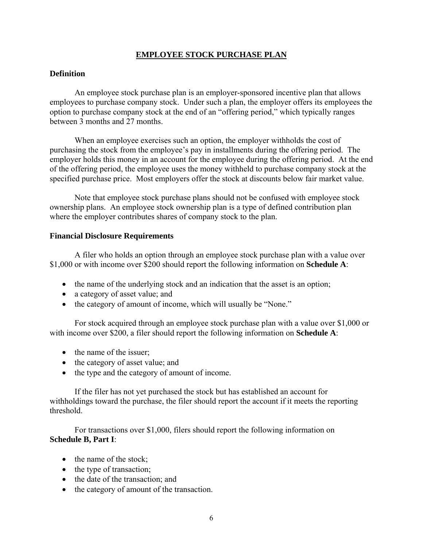## **EMPLOYEE STOCK PURCHASE PLAN**

## <span id="page-7-0"></span>**Definition**

An employee stock purchase plan is an employer-sponsored incentive plan that allows employees to purchase company stock. Under such a plan, the employer offers its employees the option to purchase company stock at the end of an "offering period," which typically ranges between 3 months and 27 months.

When an employee exercises such an option, the employer withholds the cost of purchasing the stock from the employee's pay in installments during the offering period. The employer holds this money in an account for the employee during the offering period. At the end of the offering period, the employee uses the money withheld to purchase company stock at the specified purchase price. Most employers offer the stock at discounts below fair market value.

Note that employee stock purchase plans should not be confused with employee stock ownership plans. An employee stock ownership plan is a type of defined contribution plan where the employer contributes shares of company stock to the plan.

#### **Financial Disclosure Requirements**

A filer who holds an option through an employee stock purchase plan with a value over \$1,000 or with income over \$200 should report the following information on **Schedule A**:

- the name of the underlying stock and an indication that the asset is an option;
- a category of asset value; and
- the category of amount of income, which will usually be "None."

For stock acquired through an employee stock purchase plan with a value over \$1,000 or with income over \$200, a filer should report the following information on **Schedule A**:

- the name of the issuer;
- the category of asset value; and
- the type and the category of amount of income.

If the filer has not yet purchased the stock but has established an account for withholdings toward the purchase, the filer should report the account if it meets the reporting threshold.

For transactions over \$1,000, filers should report the following information on **Schedule B, Part I**:

- the name of the stock;
- the type of transaction;
- the date of the transaction; and
- the category of amount of the transaction.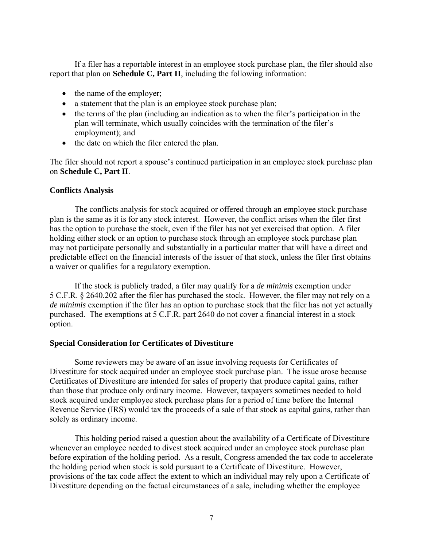If a filer has a reportable interest in an employee stock purchase plan, the filer should also report that plan on **Schedule C, Part II**, including the following information:

- the name of the employer;
- a statement that the plan is an employee stock purchase plan;
- the terms of the plan (including an indication as to when the filer's participation in the plan will terminate, which usually coincides with the termination of the filer's employment); and
- the date on which the filer entered the plan.

The filer should not report a spouse's continued participation in an employee stock purchase plan on **Schedule C, Part II**.

## **Conflicts Analysis**

The conflicts analysis for stock acquired or offered through an employee stock purchase plan is the same as it is for any stock interest. However, the conflict arises when the filer first has the option to purchase the stock, even if the filer has not yet exercised that option. A filer holding either stock or an option to purchase stock through an employee stock purchase plan may not participate personally and substantially in a particular matter that will have a direct and predictable effect on the financial interests of the issuer of that stock, unless the filer first obtains a waiver or qualifies for a regulatory exemption.

If the stock is publicly traded, a filer may qualify for a *de minimis* exemption under 5 C.F.R. § 2640.202 after the filer has purchased the stock. However, the filer may not rely on a *de minimis* exemption if the filer has an option to purchase stock that the filer has not yet actually purchased. The exemptions at 5 C.F.R. part 2640 do not cover a financial interest in a stock option.

#### **Special Consideration for Certificates of Divestiture**

Some reviewers may be aware of an issue involving requests for Certificates of Divestiture for stock acquired under an employee stock purchase plan. The issue arose because Certificates of Divestiture are intended for sales of property that produce capital gains, rather than those that produce only ordinary income. However, taxpayers sometimes needed to hold stock acquired under employee stock purchase plans for a period of time before the Internal Revenue Service (IRS) would tax the proceeds of a sale of that stock as capital gains, rather than solely as ordinary income.

This holding period raised a question about the availability of a Certificate of Divestiture whenever an employee needed to divest stock acquired under an employee stock purchase plan before expiration of the holding period. As a result, Congress amended the tax code to accelerate the holding period when stock is sold pursuant to a Certificate of Divestiture. However, provisions of the tax code affect the extent to which an individual may rely upon a Certificate of Divestiture depending on the factual circumstances of a sale, including whether the employee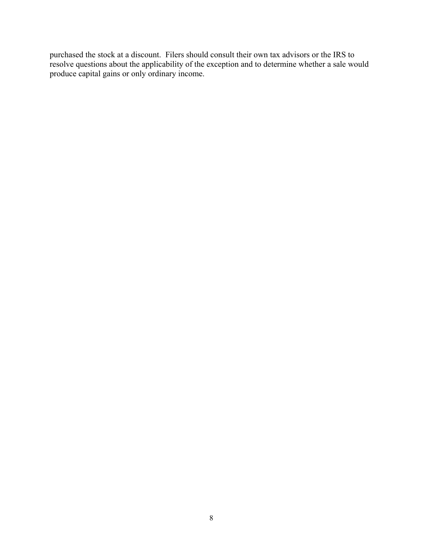purchased the stock at a discount. Filers should consult their own tax advisors or the IRS to resolve questions about the applicability of the exception and to determine whether a sale would produce capital gains or only ordinary income.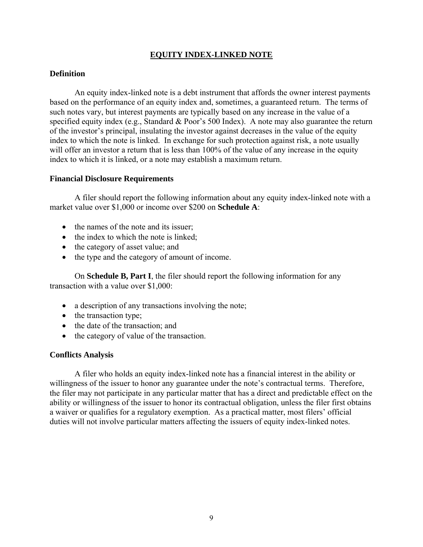## **EQUITY INDEX-LINKED NOTE**

### <span id="page-10-0"></span>**Definition**

An equity index-linked note is a debt instrument that affords the owner interest payments based on the performance of an equity index and, sometimes, a guaranteed return. The terms of such notes vary, but interest payments are typically based on any increase in the value of a specified equity index (e.g., Standard & Poor's 500 Index). A note may also guarantee the return of the investor's principal, insulating the investor against decreases in the value of the equity index to which the note is linked. In exchange for such protection against risk, a note usually will offer an investor a return that is less than 100% of the value of any increase in the equity index to which it is linked, or a note may establish a maximum return.

#### **Financial Disclosure Requirements**

A filer should report the following information about any equity index-linked note with a market value over \$1,000 or income over \$200 on **Schedule A**:

- the names of the note and its issuer;
- the index to which the note is linked;
- the category of asset value; and
- the type and the category of amount of income.

On **Schedule B, Part I**, the filer should report the following information for any transaction with a value over \$1,000:

- a description of any transactions involving the note;
- the transaction type;
- the date of the transaction; and
- the category of value of the transaction.

#### **Conflicts Analysis**

A filer who holds an equity index-linked note has a financial interest in the ability or willingness of the issuer to honor any guarantee under the note's contractual terms. Therefore, the filer may not participate in any particular matter that has a direct and predictable effect on the ability or willingness of the issuer to honor its contractual obligation, unless the filer first obtains a waiver or qualifies for a regulatory exemption. As a practical matter, most filers' official duties will not involve particular matters affecting the issuers of equity index-linked notes.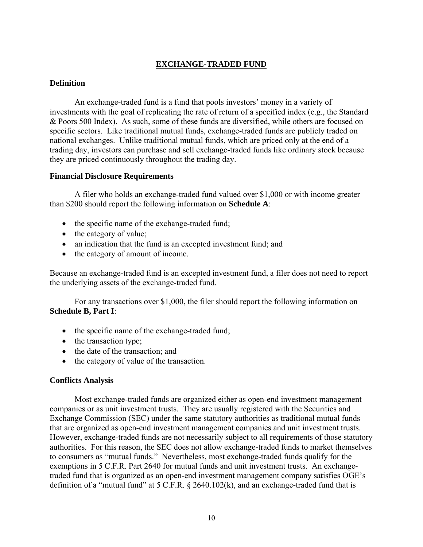## **EXCHANGE-TRADED FUND**

### <span id="page-11-0"></span>**Definition**

An exchange-traded fund is a fund that pools investors' money in a variety of investments with the goal of replicating the rate of return of a specified index (e.g., the Standard & Poors 500 Index). As such, some of these funds are diversified, while others are focused on specific sectors. Like traditional mutual funds, exchange-traded funds are publicly traded on national exchanges. Unlike traditional mutual funds, which are priced only at the end of a trading day, investors can purchase and sell exchange-traded funds like ordinary stock because they are priced continuously throughout the trading day.

#### **Financial Disclosure Requirements**

A filer who holds an exchange-traded fund valued over \$1,000 or with income greater than \$200 should report the following information on **Schedule A**:

- the specific name of the exchange-traded fund;
- the category of value;
- an indication that the fund is an excepted investment fund; and
- the category of amount of income.

Because an exchange-traded fund is an excepted investment fund, a filer does not need to report the underlying assets of the exchange-traded fund.

For any transactions over \$1,000, the filer should report the following information on **Schedule B, Part I**:

- the specific name of the exchange-traded fund;
- the transaction type;
- the date of the transaction; and
- the category of value of the transaction.

#### **Conflicts Analysis**

Most exchange-traded funds are organized either as open-end investment management companies or as unit investment trusts. They are usually registered with the Securities and Exchange Commission (SEC) under the same statutory authorities as traditional mutual funds that are organized as open-end investment management companies and unit investment trusts. However, exchange-traded funds are not necessarily subject to all requirements of those statutory authorities. For this reason, the SEC does not allow exchange-traded funds to market themselves to consumers as "mutual funds." Nevertheless, most exchange-traded funds qualify for the exemptions in 5 C.F.R. Part 2640 for mutual funds and unit investment trusts. An exchangetraded fund that is organized as an open-end investment management company satisfies OGE's definition of a "mutual fund" at 5 C.F.R. § 2640.102(k), and an exchange-traded fund that is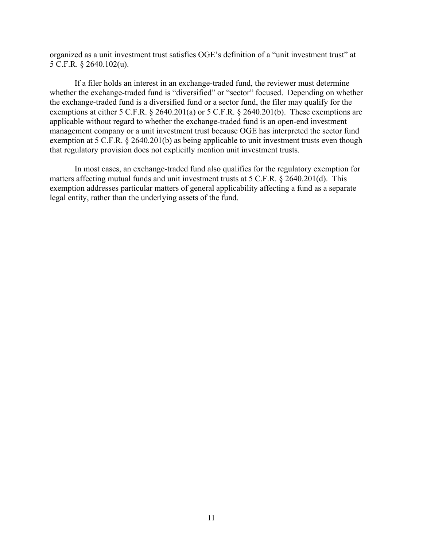organized as a unit investment trust satisfies OGE's definition of a "unit investment trust" at 5 C.F.R. § 2640.102(u).

If a filer holds an interest in an exchange-traded fund, the reviewer must determine whether the exchange-traded fund is "diversified" or "sector" focused. Depending on whether the exchange-traded fund is a diversified fund or a sector fund, the filer may qualify for the exemptions at either 5 C.F.R. § 2640.201(a) or 5 C.F.R. § 2640.201(b). These exemptions are applicable without regard to whether the exchange-traded fund is an open-end investment management company or a unit investment trust because OGE has interpreted the sector fund exemption at 5 C.F.R. § 2640.201(b) as being applicable to unit investment trusts even though that regulatory provision does not explicitly mention unit investment trusts.

In most cases, an exchange-traded fund also qualifies for the regulatory exemption for matters affecting mutual funds and unit investment trusts at 5 C.F.R. § 2640.201(d). This exemption addresses particular matters of general applicability affecting a fund as a separate legal entity, rather than the underlying assets of the fund.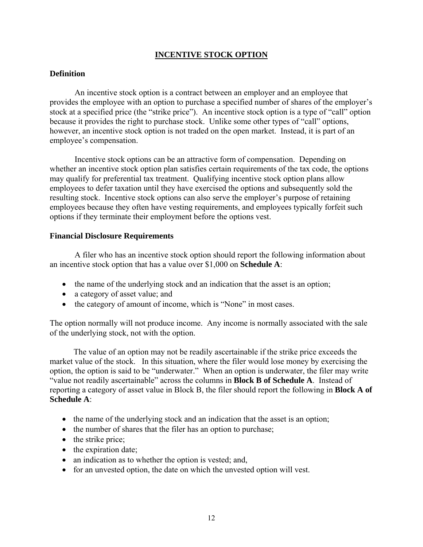## **INCENTIVE STOCK OPTION**

## <span id="page-13-0"></span>**Definition**

An incentive stock option is a contract between an employer and an employee that provides the employee with an option to purchase a specified number of shares of the employer's stock at a specified price (the "strike price"). An incentive stock option is a type of "call" option because it provides the right to purchase stock. Unlike some other types of "call" options, however, an incentive stock option is not traded on the open market. Instead, it is part of an employee's compensation.

Incentive stock options can be an attractive form of compensation. Depending on whether an incentive stock option plan satisfies certain requirements of the tax code, the options may qualify for preferential tax treatment. Qualifying incentive stock option plans allow employees to defer taxation until they have exercised the options and subsequently sold the resulting stock. Incentive stock options can also serve the employer's purpose of retaining employees because they often have vesting requirements, and employees typically forfeit such options if they terminate their employment before the options vest.

#### **Financial Disclosure Requirements**

A filer who has an incentive stock option should report the following information about an incentive stock option that has a value over \$1,000 on **Schedule A**:

- the name of the underlying stock and an indication that the asset is an option;
- a category of asset value; and
- the category of amount of income, which is "None" in most cases.

The option normally will not produce income. Any income is normally associated with the sale of the underlying stock, not with the option.

The value of an option may not be readily ascertainable if the strike price exceeds the market value of the stock. In this situation, where the filer would lose money by exercising the option, the option is said to be "underwater." When an option is underwater, the filer may write "value not readily ascertainable" across the columns in **Block B of Schedule A**. Instead of reporting a category of asset value in Block B, the filer should report the following in **Block A of Schedule A**:

- the name of the underlying stock and an indication that the asset is an option;
- the number of shares that the filer has an option to purchase;
- the strike price;
- the expiration date;
- an indication as to whether the option is vested; and,
- for an unvested option, the date on which the unvested option will vest.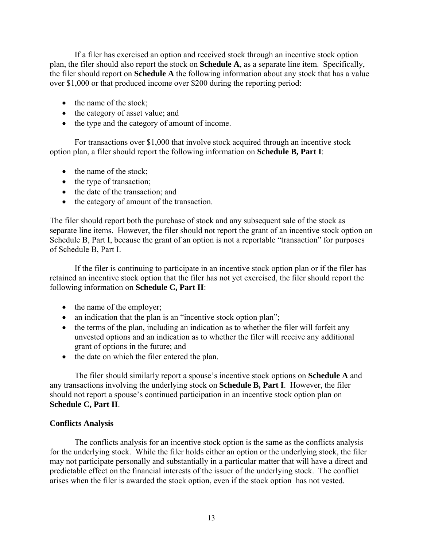If a filer has exercised an option and received stock through an incentive stock option plan, the filer should also report the stock on **Schedule A**, as a separate line item. Specifically, the filer should report on **Schedule A** the following information about any stock that has a value over \$1,000 or that produced income over \$200 during the reporting period:

- the name of the stock;
- the category of asset value; and
- the type and the category of amount of income.

For transactions over \$1,000 that involve stock acquired through an incentive stock option plan, a filer should report the following information on **Schedule B, Part I**:

- the name of the stock;
- the type of transaction;
- the date of the transaction; and
- the category of amount of the transaction.

The filer should report both the purchase of stock and any subsequent sale of the stock as separate line items. However, the filer should not report the grant of an incentive stock option on Schedule B, Part I, because the grant of an option is not a reportable "transaction" for purposes of Schedule B, Part I.

If the filer is continuing to participate in an incentive stock option plan or if the filer has retained an incentive stock option that the filer has not yet exercised, the filer should report the following information on **Schedule C, Part II**:

- the name of the employer;
- an indication that the plan is an "incentive stock option plan";
- the terms of the plan, including an indication as to whether the filer will forfeit any unvested options and an indication as to whether the filer will receive any additional grant of options in the future; and
- the date on which the filer entered the plan.

The filer should similarly report a spouse's incentive stock options on **Schedule A** and any transactions involving the underlying stock on **Schedule B, Part I**. However, the filer should not report a spouse's continued participation in an incentive stock option plan on **Schedule C, Part II**.

#### **Conflicts Analysis**

The conflicts analysis for an incentive stock option is the same as the conflicts analysis for the underlying stock. While the filer holds either an option or the underlying stock, the filer may not participate personally and substantially in a particular matter that will have a direct and predictable effect on the financial interests of the issuer of the underlying stock. The conflict arises when the filer is awarded the stock option, even if the stock option has not vested.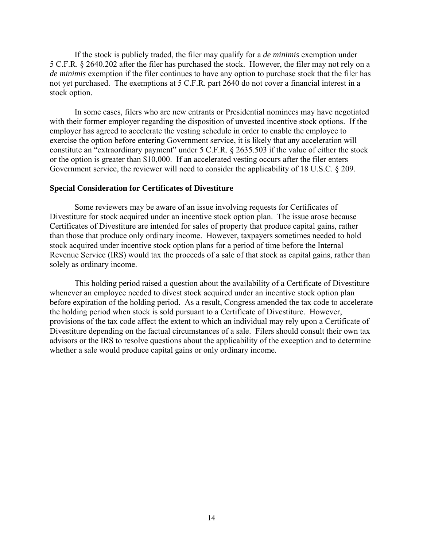If the stock is publicly traded, the filer may qualify for a *de minimis* exemption under 5 C.F.R. § 2640.202 after the filer has purchased the stock. However, the filer may not rely on a *de minimis* exemption if the filer continues to have any option to purchase stock that the filer has not yet purchased. The exemptions at 5 C.F.R. part 2640 do not cover a financial interest in a stock option.

In some cases, filers who are new entrants or Presidential nominees may have negotiated with their former employer regarding the disposition of unvested incentive stock options. If the employer has agreed to accelerate the vesting schedule in order to enable the employee to exercise the option before entering Government service, it is likely that any acceleration will constitute an "extraordinary payment" under 5 C.F.R. § 2635.503 if the value of either the stock or the option is greater than \$10,000. If an accelerated vesting occurs after the filer enters Government service, the reviewer will need to consider the applicability of 18 U.S.C. § 209.

#### **Special Consideration for Certificates of Divestiture**

Some reviewers may be aware of an issue involving requests for Certificates of Divestiture for stock acquired under an incentive stock option plan. The issue arose because Certificates of Divestiture are intended for sales of property that produce capital gains, rather than those that produce only ordinary income. However, taxpayers sometimes needed to hold stock acquired under incentive stock option plans for a period of time before the Internal Revenue Service (IRS) would tax the proceeds of a sale of that stock as capital gains, rather than solely as ordinary income.

This holding period raised a question about the availability of a Certificate of Divestiture whenever an employee needed to divest stock acquired under an incentive stock option plan before expiration of the holding period. As a result, Congress amended the tax code to accelerate the holding period when stock is sold pursuant to a Certificate of Divestiture. However, provisions of the tax code affect the extent to which an individual may rely upon a Certificate of Divestiture depending on the factual circumstances of a sale. Filers should consult their own tax advisors or the IRS to resolve questions about the applicability of the exception and to determine whether a sale would produce capital gains or only ordinary income.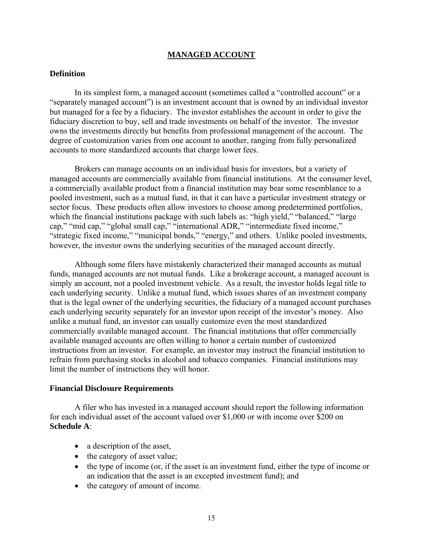### **MANAGED ACCOUNT**

### <span id="page-16-0"></span>**Definition**

In its simplest form, a managed account (sometimes called a "controlled account" or a "separately managed account") is an investment account that is owned by an individual investor but managed for a fee by a fiduciary. The investor establishes the account in order to give the fiduciary discretion to buy, sell and trade investments on behalf of the investor. The investor owns the investments directly but benefits from professional management of the account. The degree of customization varies from one account to another, ranging from fully personalized accounts to more standardized accounts that charge lower fees.

Brokers can manage accounts on an individual basis for investors, but a variety of managed accounts are commercially available from financial institutions. At the consumer level, a commercially available product from a financial institution may bear some resemblance to a pooled investment, such as a mutual fund, in that it can have a particular investment strategy or sector focus. These products often allow investors to choose among predetermined portfolios, which the financial institutions package with such labels as: "high yield," "balanced," "large cap," "mid cap," "global small cap," "international ADR," "intermediate fixed income," "strategic fixed income," "municipal bonds," "energy," and others. Unlike pooled investments, however, the investor owns the underlying securities of the managed account directly.

Although some filers have mistakenly characterized their managed accounts as mutual funds, managed accounts are not mutual funds. Like a brokerage account, a managed account is simply an account, not a pooled investment vehicle. As a result, the investor holds legal title to each underlying security. Unlike a mutual fund, which issues shares of an investment company that is the legal owner of the underlying securities, the fiduciary of a managed account purchases each underlying security separately for an investor upon receipt of the investor's money. Also unlike a mutual fund, an investor can usually customize even the most standardized commercially available managed account. The financial institutions that offer commercially available managed accounts are often willing to honor a certain number of customized instructions from an investor. For example, an investor may instruct the financial institution to refrain from purchasing stocks in alcohol and tobacco companies. Financial institutions may limit the number of instructions they will honor.

#### **Financial Disclosure Requirements**

A filer who has invested in a managed account should report the following information for each individual asset of the account valued over \$1,000 or with income over \$200 on **Schedule A**:

- a description of the asset,
- the category of asset value;
- the type of income (or, if the asset is an investment fund, either the type of income or an indication that the asset is an excepted investment fund); and
- the category of amount of income.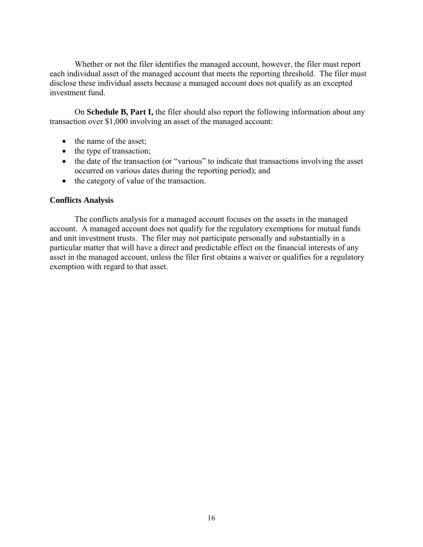Whether or not the filer identifies the managed account, however, the filer must report each individual asset of the managed account that meets the reporting threshold. The filer must disclose these individual assets because a managed account does not qualify as an excepted investment fund.

On **Schedule B, Part I,** the filer should also report the following information about any transaction over \$1,000 involving an asset of the managed account:

- the name of the asset;
- the type of transaction;
- the date of the transaction (or "various" to indicate that transactions involving the asset occurred on various dates during the reporting period); and
- the category of value of the transaction.

## **Conflicts Analysis**

The conflicts analysis for a managed account focuses on the assets in the managed account. A managed account does not qualify for the regulatory exemptions for mutual funds and unit investment trusts. The filer may not participate personally and substantially in a particular matter that will have a direct and predictable effect on the financial interests of any asset in the managed account, unless the filer first obtains a waiver or qualifies for a regulatory exemption with regard to that asset.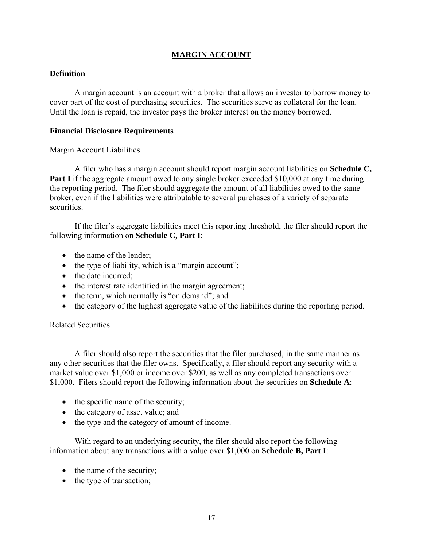## **MARGIN ACCOUNT**

## <span id="page-18-0"></span>**Definition**

A margin account is an account with a broker that allows an investor to borrow money to cover part of the cost of purchasing securities. The securities serve as collateral for the loan. Until the loan is repaid, the investor pays the broker interest on the money borrowed.

#### **Financial Disclosure Requirements**

#### Margin Account Liabilities

A filer who has a margin account should report margin account liabilities on **Schedule C, Part I** if the aggregate amount owed to any single broker exceeded \$10,000 at any time during the reporting period. The filer should aggregate the amount of all liabilities owed to the same broker, even if the liabilities were attributable to several purchases of a variety of separate securities.

If the filer's aggregate liabilities meet this reporting threshold, the filer should report the following information on **Schedule C, Part I**:

- the name of the lender:
- the type of liability, which is a "margin account";
- the date incurred:
- the interest rate identified in the margin agreement;
- the term, which normally is "on demand"; and
- the category of the highest aggregate value of the liabilities during the reporting period.

#### Related Securities

A filer should also report the securities that the filer purchased, in the same manner as any other securities that the filer owns. Specifically, a filer should report any security with a market value over \$1,000 or income over \$200, as well as any completed transactions over \$1,000. Filers should report the following information about the securities on **Schedule A**:

- the specific name of the security;
- the category of asset value; and
- the type and the category of amount of income.

With regard to an underlying security, the filer should also report the following information about any transactions with a value over \$1,000 on **Schedule B, Part I**:

- the name of the security;
- the type of transaction;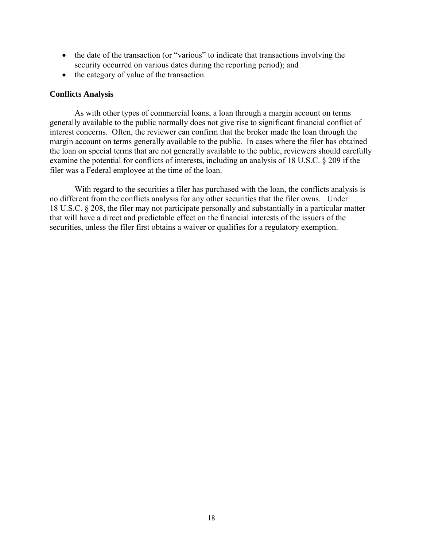- the date of the transaction (or "various" to indicate that transactions involving the security occurred on various dates during the reporting period); and
- the category of value of the transaction.

### **Conflicts Analysis**

As with other types of commercial loans, a loan through a margin account on terms generally available to the public normally does not give rise to significant financial conflict of interest concerns. Often, the reviewer can confirm that the broker made the loan through the margin account on terms generally available to the public. In cases where the filer has obtained the loan on special terms that are not generally available to the public, reviewers should carefully examine the potential for conflicts of interests, including an analysis of 18 U.S.C. § 209 if the filer was a Federal employee at the time of the loan.

With regard to the securities a filer has purchased with the loan, the conflicts analysis is no different from the conflicts analysis for any other securities that the filer owns. Under 18 U.S.C. § 208, the filer may not participate personally and substantially in a particular matter that will have a direct and predictable effect on the financial interests of the issuers of the securities, unless the filer first obtains a waiver or qualifies for a regulatory exemption.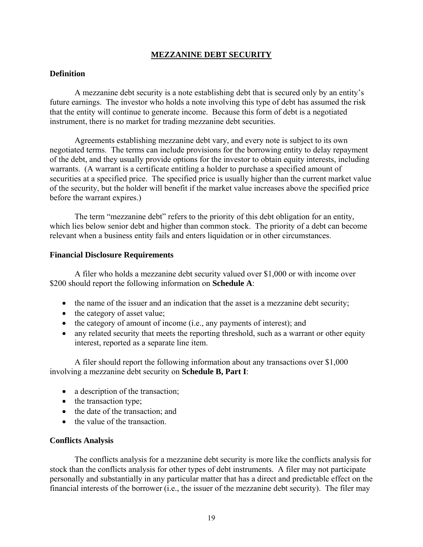## **MEZZANINE DEBT SECURITY**

#### <span id="page-20-0"></span>**Definition**

A mezzanine debt security is a note establishing debt that is secured only by an entity's future earnings. The investor who holds a note involving this type of debt has assumed the risk that the entity will continue to generate income. Because this form of debt is a negotiated instrument, there is no market for trading mezzanine debt securities.

Agreements establishing mezzanine debt vary, and every note is subject to its own negotiated terms. The terms can include provisions for the borrowing entity to delay repayment of the debt, and they usually provide options for the investor to obtain equity interests, including warrants. (A warrant is a certificate entitling a holder to purchase a specified amount of securities at a specified price. The specified price is usually higher than the current market value of the security, but the holder will benefit if the market value increases above the specified price before the warrant expires.)

The term "mezzanine debt" refers to the priority of this debt obligation for an entity, which lies below senior debt and higher than common stock. The priority of a debt can become relevant when a business entity fails and enters liquidation or in other circumstances.

#### **Financial Disclosure Requirements**

A filer who holds a mezzanine debt security valued over \$1,000 or with income over \$200 should report the following information on **Schedule A**:

- the name of the issuer and an indication that the asset is a mezzanine debt security;
- the category of asset value;
- the category of amount of income (i.e., any payments of interest); and
- any related security that meets the reporting threshold, such as a warrant or other equity interest, reported as a separate line item.

A filer should report the following information about any transactions over \$1,000 involving a mezzanine debt security on **Schedule B, Part I**:

- a description of the transaction;
- the transaction type;
- the date of the transaction; and
- the value of the transaction.

#### **Conflicts Analysis**

The conflicts analysis for a mezzanine debt security is more like the conflicts analysis for stock than the conflicts analysis for other types of debt instruments. A filer may not participate personally and substantially in any particular matter that has a direct and predictable effect on the financial interests of the borrower (i.e., the issuer of the mezzanine debt security). The filer may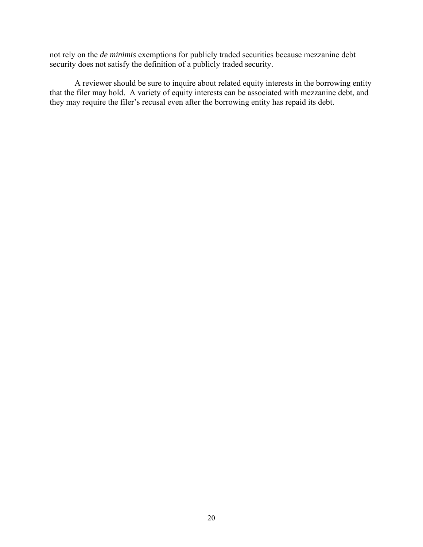not rely on the *de minimis* exemptions for publicly traded securities because mezzanine debt security does not satisfy the definition of a publicly traded security.

A reviewer should be sure to inquire about related equity interests in the borrowing entity that the filer may hold. A variety of equity interests can be associated with mezzanine debt, and they may require the filer's recusal even after the borrowing entity has repaid its debt.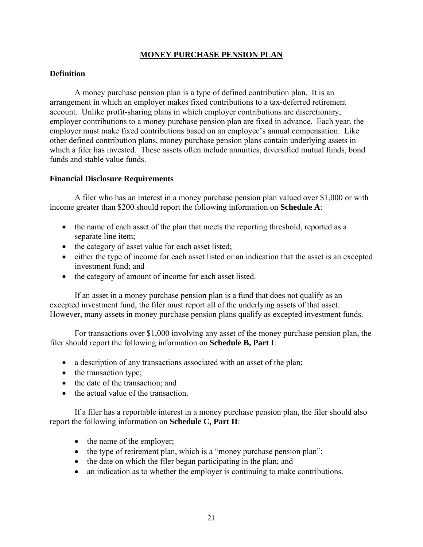## **MONEY PURCHASE PENSION PLAN**

## <span id="page-22-0"></span>**Definition**

A money purchase pension plan is a type of defined contribution plan. It is an arrangement in which an employer makes fixed contributions to a tax-deferred retirement account. Unlike profit-sharing plans in which employer contributions are discretionary, employer contributions to a money purchase pension plan are fixed in advance. Each year, the employer must make fixed contributions based on an employee's annual compensation. Like other defined contribution plans, money purchase pension plans contain underlying assets in which a filer has invested. These assets often include annuities, diversified mutual funds, bond funds and stable value funds.

#### **Financial Disclosure Requirements**

A filer who has an interest in a money purchase pension plan valued over \$1,000 or with income greater than \$200 should report the following information on **Schedule A**:

- the name of each asset of the plan that meets the reporting threshold, reported as a separate line item;
- the category of asset value for each asset listed;
- either the type of income for each asset listed or an indication that the asset is an excepted investment fund; and
- the category of amount of income for each asset listed.

If an asset in a money purchase pension plan is a fund that does not qualify as an excepted investment fund, the filer must report all of the underlying assets of that asset. However, many assets in money purchase pension plans qualify as excepted investment funds.

For transactions over \$1,000 involving any asset of the money purchase pension plan, the filer should report the following information on **Schedule B, Part I**:

- a description of any transactions associated with an asset of the plan;
- the transaction type;
- the date of the transaction: and
- the actual value of the transaction.

If a filer has a reportable interest in a money purchase pension plan, the filer should also report the following information on **Schedule C, Part II**:

- the name of the employer;
- the type of retirement plan, which is a "money purchase pension plan";
- the date on which the filer began participating in the plan; and
- an indication as to whether the employer is continuing to make contributions.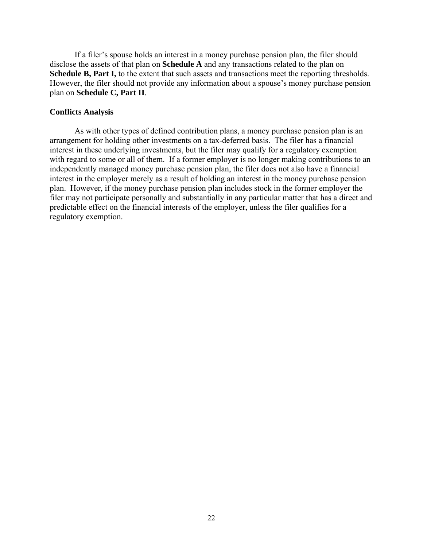If a filer's spouse holds an interest in a money purchase pension plan, the filer should disclose the assets of that plan on **Schedule A** and any transactions related to the plan on **Schedule B, Part I,** to the extent that such assets and transactions meet the reporting thresholds. However, the filer should not provide any information about a spouse's money purchase pension plan on **Schedule C, Part II**.

#### **Conflicts Analysis**

As with other types of defined contribution plans, a money purchase pension plan is an arrangement for holding other investments on a tax-deferred basis. The filer has a financial interest in these underlying investments, but the filer may qualify for a regulatory exemption with regard to some or all of them. If a former employer is no longer making contributions to an independently managed money purchase pension plan, the filer does not also have a financial interest in the employer merely as a result of holding an interest in the money purchase pension plan. However, if the money purchase pension plan includes stock in the former employer the filer may not participate personally and substantially in any particular matter that has a direct and predictable effect on the financial interests of the employer, unless the filer qualifies for a regulatory exemption.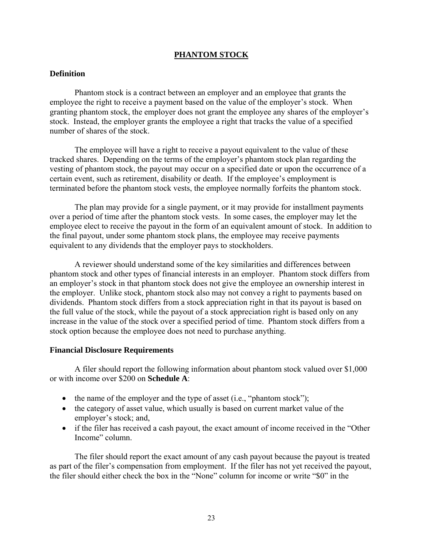## **PHANTOM STOCK**

#### <span id="page-24-0"></span>**Definition**

Phantom stock is a contract between an employer and an employee that grants the employee the right to receive a payment based on the value of the employer's stock. When granting phantom stock, the employer does not grant the employee any shares of the employer's stock. Instead, the employer grants the employee a right that tracks the value of a specified number of shares of the stock.

The employee will have a right to receive a payout equivalent to the value of these tracked shares. Depending on the terms of the employer's phantom stock plan regarding the vesting of phantom stock, the payout may occur on a specified date or upon the occurrence of a certain event, such as retirement, disability or death. If the employee's employment is terminated before the phantom stock vests, the employee normally forfeits the phantom stock.

The plan may provide for a single payment, or it may provide for installment payments over a period of time after the phantom stock vests. In some cases, the employer may let the employee elect to receive the payout in the form of an equivalent amount of stock. In addition to the final payout, under some phantom stock plans, the employee may receive payments equivalent to any dividends that the employer pays to stockholders.

A reviewer should understand some of the key similarities and differences between phantom stock and other types of financial interests in an employer. Phantom stock differs from an employer's stock in that phantom stock does not give the employee an ownership interest in the employer. Unlike stock, phantom stock also may not convey a right to payments based on dividends. Phantom stock differs from a stock appreciation right in that its payout is based on the full value of the stock, while the payout of a stock appreciation right is based only on any increase in the value of the stock over a specified period of time. Phantom stock differs from a stock option because the employee does not need to purchase anything.

#### **Financial Disclosure Requirements**

A filer should report the following information about phantom stock valued over \$1,000 or with income over \$200 on **Schedule A**:

- the name of the employer and the type of asset  $(i.e., "phantom 'of');$
- the category of asset value, which usually is based on current market value of the employer's stock; and,
- if the filer has received a cash payout, the exact amount of income received in the "Other" Income" column.

The filer should report the exact amount of any cash payout because the payout is treated as part of the filer's compensation from employment. If the filer has not yet received the payout, the filer should either check the box in the "None" column for income or write "\$0" in the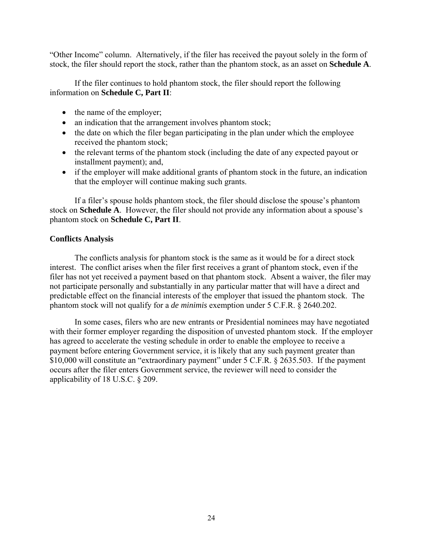"Other Income" column. Alternatively, if the filer has received the payout solely in the form of stock, the filer should report the stock, rather than the phantom stock, as an asset on **Schedule A**.

If the filer continues to hold phantom stock, the filer should report the following information on **Schedule C, Part II**:

- the name of the employer;
- an indication that the arrangement involves phantom stock;
- the date on which the filer began participating in the plan under which the employee received the phantom stock;
- the relevant terms of the phantom stock (including the date of any expected payout or installment payment); and,
- if the employer will make additional grants of phantom stock in the future, an indication that the employer will continue making such grants.

If a filer's spouse holds phantom stock, the filer should disclose the spouse's phantom stock on **Schedule A**. However, the filer should not provide any information about a spouse's phantom stock on **Schedule C, Part II**.

## **Conflicts Analysis**

The conflicts analysis for phantom stock is the same as it would be for a direct stock interest. The conflict arises when the filer first receives a grant of phantom stock, even if the filer has not yet received a payment based on that phantom stock. Absent a waiver, the filer may not participate personally and substantially in any particular matter that will have a direct and predictable effect on the financial interests of the employer that issued the phantom stock. The phantom stock will not qualify for a *de minimis* exemption under 5 C.F.R. § 2640.202.

In some cases, filers who are new entrants or Presidential nominees may have negotiated with their former employer regarding the disposition of unvested phantom stock. If the employer has agreed to accelerate the vesting schedule in order to enable the employee to receive a payment before entering Government service, it is likely that any such payment greater than \$10,000 will constitute an "extraordinary payment" under 5 C.F.R. § 2635.503. If the payment occurs after the filer enters Government service, the reviewer will need to consider the applicability of 18 U.S.C. § 209.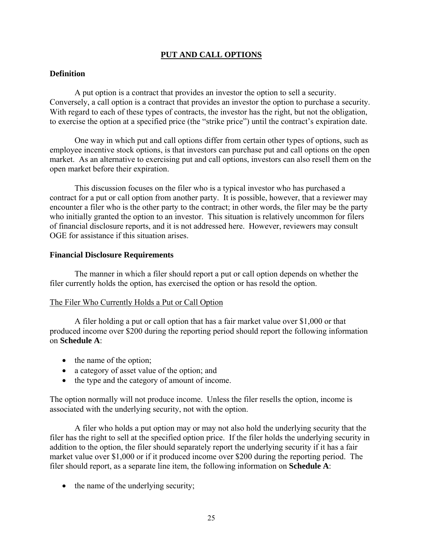## **PUT AND CALL OPTIONS**

## <span id="page-26-0"></span>**Definition**

A put option is a contract that provides an investor the option to sell a security. Conversely, a call option is a contract that provides an investor the option to purchase a security. With regard to each of these types of contracts, the investor has the right, but not the obligation, to exercise the option at a specified price (the "strike price") until the contract's expiration date.

One way in which put and call options differ from certain other types of options, such as employee incentive stock options, is that investors can purchase put and call options on the open market. As an alternative to exercising put and call options, investors can also resell them on the open market before their expiration.

This discussion focuses on the filer who is a typical investor who has purchased a contract for a put or call option from another party. It is possible, however, that a reviewer may encounter a filer who is the other party to the contract; in other words, the filer may be the party who initially granted the option to an investor. This situation is relatively uncommon for filers of financial disclosure reports, and it is not addressed here. However, reviewers may consult OGE for assistance if this situation arises.

#### **Financial Disclosure Requirements**

The manner in which a filer should report a put or call option depends on whether the filer currently holds the option, has exercised the option or has resold the option.

#### The Filer Who Currently Holds a Put or Call Option

A filer holding a put or call option that has a fair market value over \$1,000 or that produced income over \$200 during the reporting period should report the following information on **Schedule A**:

- the name of the option;
- a category of asset value of the option; and
- the type and the category of amount of income.

The option normally will not produce income. Unless the filer resells the option, income is associated with the underlying security, not with the option.

A filer who holds a put option may or may not also hold the underlying security that the filer has the right to sell at the specified option price. If the filer holds the underlying security in addition to the option, the filer should separately report the underlying security if it has a fair market value over \$1,000 or if it produced income over \$200 during the reporting period. The filer should report, as a separate line item, the following information on **Schedule A**:

• the name of the underlying security;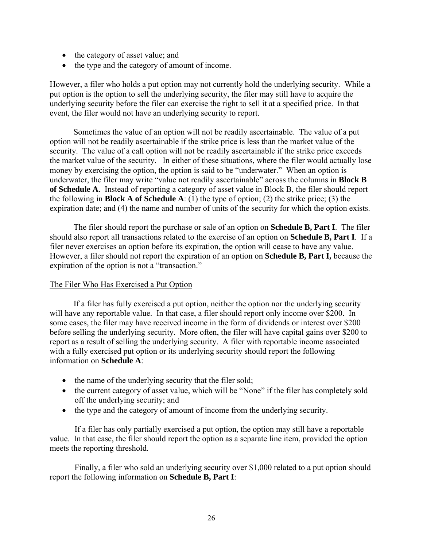- the category of asset value; and
- the type and the category of amount of income.

However, a filer who holds a put option may not currently hold the underlying security. While a put option is the option to sell the underlying security, the filer may still have to acquire the underlying security before the filer can exercise the right to sell it at a specified price. In that event, the filer would not have an underlying security to report.

Sometimes the value of an option will not be readily ascertainable. The value of a put option will not be readily ascertainable if the strike price is less than the market value of the security. The value of a call option will not be readily ascertainable if the strike price exceeds the market value of the security. In either of these situations, where the filer would actually lose money by exercising the option, the option is said to be "underwater." When an option is underwater, the filer may write "value not readily ascertainable" across the columns in **Block B of Schedule A**. Instead of reporting a category of asset value in Block B, the filer should report the following in **Block A of Schedule A**: (1) the type of option; (2) the strike price; (3) the expiration date; and (4) the name and number of units of the security for which the option exists.

The filer should report the purchase or sale of an option on **Schedule B, Part I**. The filer should also report all transactions related to the exercise of an option on **Schedule B, Part I**. If a filer never exercises an option before its expiration, the option will cease to have any value. However, a filer should not report the expiration of an option on **Schedule B, Part I,** because the expiration of the option is not a "transaction."

#### The Filer Who Has Exercised a Put Option

If a filer has fully exercised a put option, neither the option nor the underlying security will have any reportable value. In that case, a filer should report only income over \$200. In some cases, the filer may have received income in the form of dividends or interest over \$200 before selling the underlying security. More often, the filer will have capital gains over \$200 to report as a result of selling the underlying security. A filer with reportable income associated with a fully exercised put option or its underlying security should report the following information on **Schedule A**:

- the name of the underlying security that the filer sold;
- the current category of asset value, which will be "None" if the filer has completely sold off the underlying security; and
- the type and the category of amount of income from the underlying security.

 If a filer has only partially exercised a put option, the option may still have a reportable value. In that case, the filer should report the option as a separate line item, provided the option meets the reporting threshold.

 Finally, a filer who sold an underlying security over \$1,000 related to a put option should report the following information on **Schedule B, Part I**: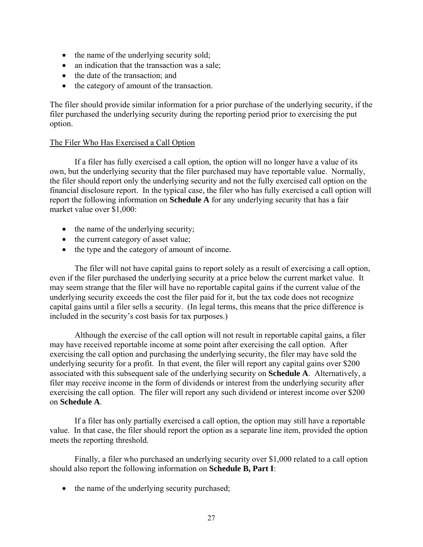- the name of the underlying security sold;
- an indication that the transaction was a sale;
- the date of the transaction; and
- the category of amount of the transaction.

The filer should provide similar information for a prior purchase of the underlying security, if the filer purchased the underlying security during the reporting period prior to exercising the put option.

## The Filer Who Has Exercised a Call Option

If a filer has fully exercised a call option, the option will no longer have a value of its own, but the underlying security that the filer purchased may have reportable value. Normally, the filer should report only the underlying security and not the fully exercised call option on the financial disclosure report. In the typical case, the filer who has fully exercised a call option will report the following information on **Schedule A** for any underlying security that has a fair market value over \$1,000:

- the name of the underlying security;
- the current category of asset value;
- the type and the category of amount of income.

 The filer will not have capital gains to report solely as a result of exercising a call option, even if the filer purchased the underlying security at a price below the current market value. It may seem strange that the filer will have no reportable capital gains if the current value of the underlying security exceeds the cost the filer paid for it, but the tax code does not recognize capital gains until a filer sells a security. (In legal terms, this means that the price difference is included in the security's cost basis for tax purposes.)

 Although the exercise of the call option will not result in reportable capital gains, a filer may have received reportable income at some point after exercising the call option. After exercising the call option and purchasing the underlying security, the filer may have sold the underlying security for a profit. In that event, the filer will report any capital gains over \$200 associated with this subsequent sale of the underlying security on **Schedule A**. Alternatively, a filer may receive income in the form of dividends or interest from the underlying security after exercising the call option. The filer will report any such dividend or interest income over \$200 on **Schedule A**.

 If a filer has only partially exercised a call option, the option may still have a reportable value. In that case, the filer should report the option as a separate line item, provided the option meets the reporting threshold.

 Finally, a filer who purchased an underlying security over \$1,000 related to a call option should also report the following information on **Schedule B, Part I**:

• the name of the underlying security purchased;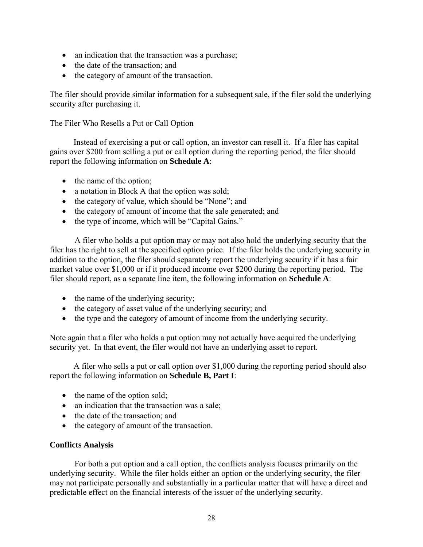- an indication that the transaction was a purchase;
- the date of the transaction; and
- the category of amount of the transaction.

The filer should provide similar information for a subsequent sale, if the filer sold the underlying security after purchasing it.

### The Filer Who Resells a Put or Call Option

Instead of exercising a put or call option, an investor can resell it. If a filer has capital gains over \$200 from selling a put or call option during the reporting period, the filer should report the following information on **Schedule A**:

- the name of the option;
- a notation in Block A that the option was sold;
- the category of value, which should be "None"; and
- the category of amount of income that the sale generated; and
- the type of income, which will be "Capital Gains."

A filer who holds a put option may or may not also hold the underlying security that the filer has the right to sell at the specified option price. If the filer holds the underlying security in addition to the option, the filer should separately report the underlying security if it has a fair market value over \$1,000 or if it produced income over \$200 during the reporting period. The filer should report, as a separate line item, the following information on **Schedule A**:

- the name of the underlying security;
- the category of asset value of the underlying security; and
- the type and the category of amount of income from the underlying security.

Note again that a filer who holds a put option may not actually have acquired the underlying security yet. In that event, the filer would not have an underlying asset to report.

A filer who sells a put or call option over \$1,000 during the reporting period should also report the following information on **Schedule B, Part I**:

- the name of the option sold;
- an indication that the transaction was a sale;
- the date of the transaction; and
- the category of amount of the transaction.

## **Conflicts Analysis**

For both a put option and a call option, the conflicts analysis focuses primarily on the underlying security. While the filer holds either an option or the underlying security, the filer may not participate personally and substantially in a particular matter that will have a direct and predictable effect on the financial interests of the issuer of the underlying security.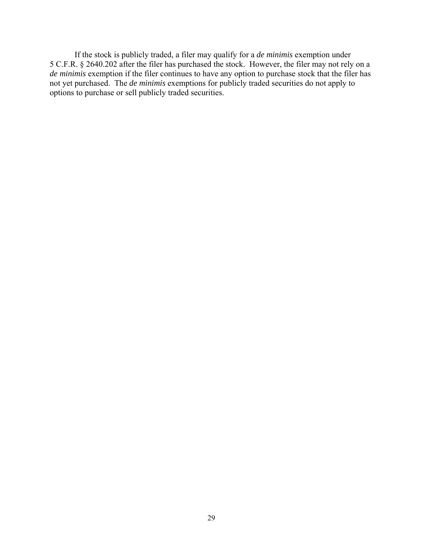If the stock is publicly traded, a filer may qualify for a *de minimis* exemption under 5 C.F.R. § 2640.202 after the filer has purchased the stock. However, the filer may not rely on a *de minimis* exemption if the filer continues to have any option to purchase stock that the filer has not yet purchased. The *de minimis* exemptions for publicly traded securities do not apply to options to purchase or sell publicly traded securities.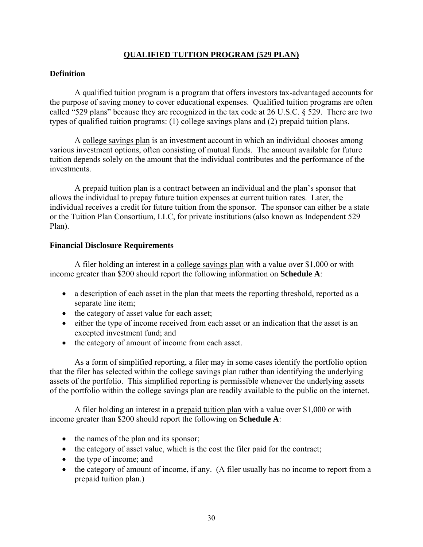## **QUALIFIED TUITION PROGRAM (529 PLAN)**

## <span id="page-31-0"></span>**Definition**

A qualified tuition program is a program that offers investors tax-advantaged accounts for the purpose of saving money to cover educational expenses. Qualified tuition programs are often called "529 plans" because they are recognized in the tax code at 26 U.S.C. § 529. There are two types of qualified tuition programs: (1) college savings plans and (2) prepaid tuition plans.

A college savings plan is an investment account in which an individual chooses among various investment options, often consisting of mutual funds. The amount available for future tuition depends solely on the amount that the individual contributes and the performance of the investments.

A prepaid tuition plan is a contract between an individual and the plan's sponsor that allows the individual to prepay future tuition expenses at current tuition rates. Later, the individual receives a credit for future tuition from the sponsor. The sponsor can either be a state or the Tuition Plan Consortium, LLC, for private institutions (also known as Independent 529 Plan).

#### **Financial Disclosure Requirements**

A filer holding an interest in a college savings plan with a value over \$1,000 or with income greater than \$200 should report the following information on **Schedule A**:

- a description of each asset in the plan that meets the reporting threshold, reported as a separate line item;
- the category of asset value for each asset;
- either the type of income received from each asset or an indication that the asset is an excepted investment fund; and
- the category of amount of income from each asset.

As a form of simplified reporting, a filer may in some cases identify the portfolio option that the filer has selected within the college savings plan rather than identifying the underlying assets of the portfolio. This simplified reporting is permissible whenever the underlying assets of the portfolio within the college savings plan are readily available to the public on the internet.

A filer holding an interest in a prepaid tuition plan with a value over \$1,000 or with income greater than \$200 should report the following on **Schedule A**:

- the names of the plan and its sponsor;
- the category of asset value, which is the cost the filer paid for the contract;
- the type of income; and
- the category of amount of income, if any. (A filer usually has no income to report from a prepaid tuition plan.)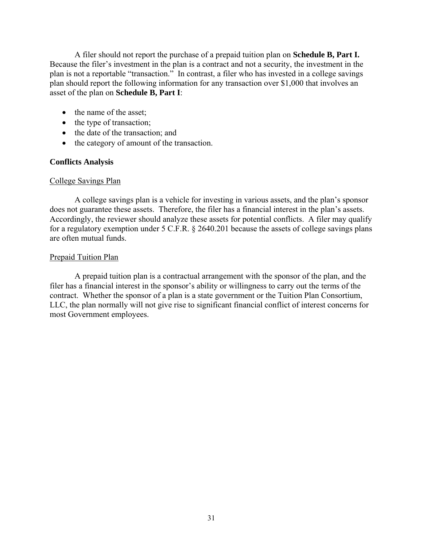A filer should not report the purchase of a prepaid tuition plan on **Schedule B, Part I.**  Because the filer's investment in the plan is a contract and not a security, the investment in the plan is not a reportable "transaction." In contrast, a filer who has invested in a college savings plan should report the following information for any transaction over \$1,000 that involves an asset of the plan on **Schedule B, Part I**:

- the name of the asset;
- the type of transaction;
- the date of the transaction; and
- the category of amount of the transaction.

## **Conflicts Analysis**

## College Savings Plan

A college savings plan is a vehicle for investing in various assets, and the plan's sponsor does not guarantee these assets. Therefore, the filer has a financial interest in the plan's assets. Accordingly, the reviewer should analyze these assets for potential conflicts. A filer may qualify for a regulatory exemption under 5 C.F.R. § 2640.201 because the assets of college savings plans are often mutual funds.

## Prepaid Tuition Plan

A prepaid tuition plan is a contractual arrangement with the sponsor of the plan, and the filer has a financial interest in the sponsor's ability or willingness to carry out the terms of the contract. Whether the sponsor of a plan is a state government or the Tuition Plan Consortium, LLC, the plan normally will not give rise to significant financial conflict of interest concerns for most Government employees.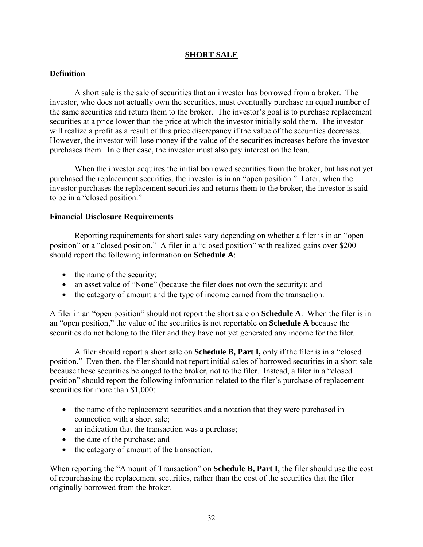### **SHORT SALE**

## <span id="page-33-0"></span>**Definition**

A short sale is the sale of securities that an investor has borrowed from a broker. The investor, who does not actually own the securities, must eventually purchase an equal number of the same securities and return them to the broker. The investor's goal is to purchase replacement securities at a price lower than the price at which the investor initially sold them. The investor will realize a profit as a result of this price discrepancy if the value of the securities decreases. However, the investor will lose money if the value of the securities increases before the investor purchases them. In either case, the investor must also pay interest on the loan.

When the investor acquires the initial borrowed securities from the broker, but has not yet purchased the replacement securities, the investor is in an "open position." Later, when the investor purchases the replacement securities and returns them to the broker, the investor is said to be in a "closed position."

#### **Financial Disclosure Requirements**

Reporting requirements for short sales vary depending on whether a filer is in an "open position" or a "closed position." A filer in a "closed position" with realized gains over \$200 should report the following information on **Schedule A**:

- the name of the security;
- an asset value of "None" (because the filer does not own the security); and
- the category of amount and the type of income earned from the transaction.

A filer in an "open position" should not report the short sale on **Schedule A**. When the filer is in an "open position," the value of the securities is not reportable on **Schedule A** because the securities do not belong to the filer and they have not yet generated any income for the filer.

A filer should report a short sale on **Schedule B, Part I,** only if the filer is in a "closed position." Even then, the filer should not report initial sales of borrowed securities in a short sale because those securities belonged to the broker, not to the filer. Instead, a filer in a "closed position" should report the following information related to the filer's purchase of replacement securities for more than \$1,000:

- the name of the replacement securities and a notation that they were purchased in connection with a short sale;
- an indication that the transaction was a purchase;
- the date of the purchase; and
- the category of amount of the transaction.

When reporting the "Amount of Transaction" on **Schedule B, Part I**, the filer should use the cost of repurchasing the replacement securities, rather than the cost of the securities that the filer originally borrowed from the broker.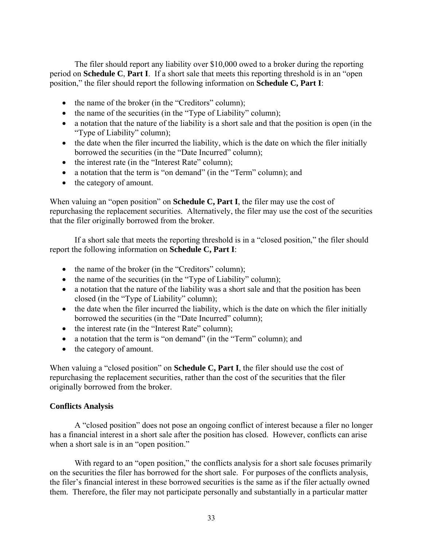The filer should report any liability over \$10,000 owed to a broker during the reporting period on **Schedule C**, **Part I**. If a short sale that meets this reporting threshold is in an "open position," the filer should report the following information on **Schedule C, Part I**:

- the name of the broker (in the "Creditors" column);
- the name of the securities (in the "Type of Liability" column);
- a notation that the nature of the liability is a short sale and that the position is open (in the "Type of Liability" column);
- the date when the filer incurred the liability, which is the date on which the filer initially borrowed the securities (in the "Date Incurred" column);
- the interest rate (in the "Interest Rate" column);
- a notation that the term is "on demand" (in the "Term" column); and
- the category of amount.

When valuing an "open position" on **Schedule C, Part I**, the filer may use the cost of repurchasing the replacement securities. Alternatively, the filer may use the cost of the securities that the filer originally borrowed from the broker.

If a short sale that meets the reporting threshold is in a "closed position," the filer should report the following information on **Schedule C, Part I**:

- the name of the broker (in the "Creditors" column);
- the name of the securities (in the "Type of Liability" column);
- a notation that the nature of the liability was a short sale and that the position has been closed (in the "Type of Liability" column);
- the date when the filer incurred the liability, which is the date on which the filer initially borrowed the securities (in the "Date Incurred" column);
- the interest rate (in the "Interest Rate" column);
- a notation that the term is "on demand" (in the "Term" column); and
- the category of amount.

When valuing a "closed position" on **Schedule C, Part I**, the filer should use the cost of repurchasing the replacement securities, rather than the cost of the securities that the filer originally borrowed from the broker.

## **Conflicts Analysis**

A "closed position" does not pose an ongoing conflict of interest because a filer no longer has a financial interest in a short sale after the position has closed. However, conflicts can arise when a short sale is in an "open position."

With regard to an "open position," the conflicts analysis for a short sale focuses primarily on the securities the filer has borrowed for the short sale. For purposes of the conflicts analysis, the filer's financial interest in these borrowed securities is the same as if the filer actually owned them. Therefore, the filer may not participate personally and substantially in a particular matter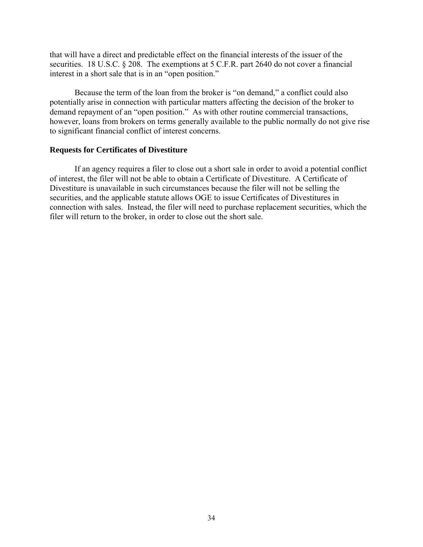that will have a direct and predictable effect on the financial interests of the issuer of the securities. 18 U.S.C. § 208. The exemptions at 5 C.F.R. part 2640 do not cover a financial interest in a short sale that is in an "open position."

Because the term of the loan from the broker is "on demand," a conflict could also potentially arise in connection with particular matters affecting the decision of the broker to demand repayment of an "open position." As with other routine commercial transactions, however, loans from brokers on terms generally available to the public normally do not give rise to significant financial conflict of interest concerns.

#### **Requests for Certificates of Divestiture**

If an agency requires a filer to close out a short sale in order to avoid a potential conflict of interest, the filer will not be able to obtain a Certificate of Divestiture. A Certificate of Divestiture is unavailable in such circumstances because the filer will not be selling the securities, and the applicable statute allows OGE to issue Certificates of Divestitures in connection with sales. Instead, the filer will need to purchase replacement securities, which the filer will return to the broker, in order to close out the short sale.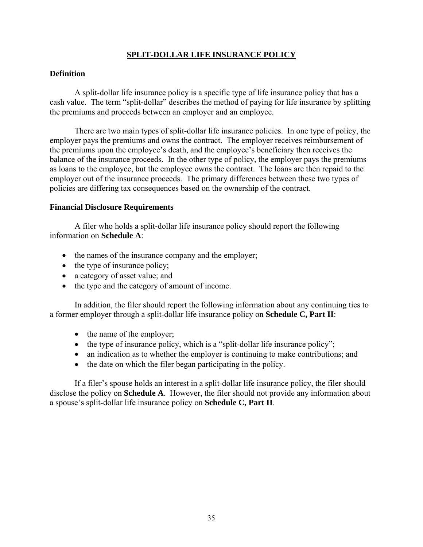## **SPLIT-DOLLAR LIFE INSURANCE POLICY**

#### <span id="page-36-0"></span>**Definition**

A split-dollar life insurance policy is a specific type of life insurance policy that has a cash value. The term "split-dollar" describes the method of paying for life insurance by splitting the premiums and proceeds between an employer and an employee.

There are two main types of split-dollar life insurance policies. In one type of policy, the employer pays the premiums and owns the contract. The employer receives reimbursement of the premiums upon the employee's death, and the employee's beneficiary then receives the balance of the insurance proceeds. In the other type of policy, the employer pays the premiums as loans to the employee, but the employee owns the contract. The loans are then repaid to the employer out of the insurance proceeds. The primary differences between these two types of policies are differing tax consequences based on the ownership of the contract.

#### **Financial Disclosure Requirements**

A filer who holds a split-dollar life insurance policy should report the following information on **Schedule A**:

- the names of the insurance company and the employer;
- the type of insurance policy;
- a category of asset value; and
- the type and the category of amount of income.

In addition, the filer should report the following information about any continuing ties to a former employer through a split-dollar life insurance policy on **Schedule C, Part II**:

- the name of the employer;
- the type of insurance policy, which is a "split-dollar life insurance policy";
- an indication as to whether the employer is continuing to make contributions; and
- the date on which the filer began participating in the policy.

If a filer's spouse holds an interest in a split-dollar life insurance policy, the filer should disclose the policy on **Schedule A**. However, the filer should not provide any information about a spouse's split-dollar life insurance policy on **Schedule C, Part II**.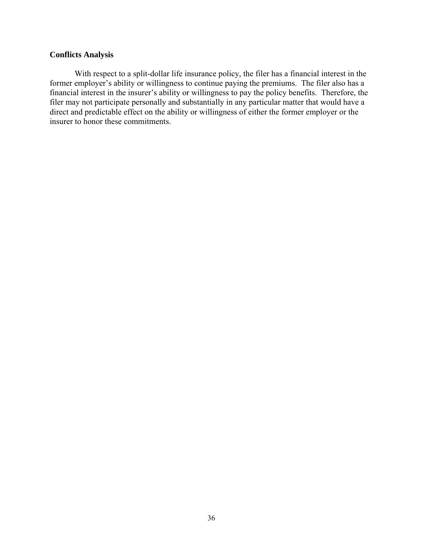## **Conflicts Analysis**

With respect to a split-dollar life insurance policy, the filer has a financial interest in the former employer's ability or willingness to continue paying the premiums. The filer also has a financial interest in the insurer's ability or willingness to pay the policy benefits. Therefore, the filer may not participate personally and substantially in any particular matter that would have a direct and predictable effect on the ability or willingness of either the former employer or the insurer to honor these commitments.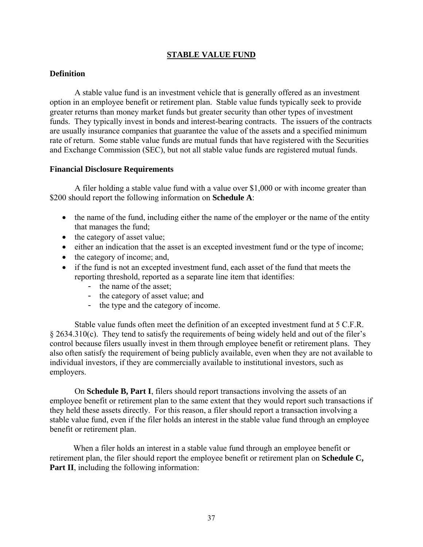## **STABLE VALUE FUND**

### <span id="page-38-0"></span>**Definition**

A stable value fund is an investment vehicle that is generally offered as an investment option in an employee benefit or retirement plan. Stable value funds typically seek to provide greater returns than money market funds but greater security than other types of investment funds. They typically invest in bonds and interest-bearing contracts. The issuers of the contracts are usually insurance companies that guarantee the value of the assets and a specified minimum rate of return. Some stable value funds are mutual funds that have registered with the Securities and Exchange Commission (SEC), but not all stable value funds are registered mutual funds.

#### **Financial Disclosure Requirements**

A filer holding a stable value fund with a value over \$1,000 or with income greater than \$200 should report the following information on **Schedule A**:

- the name of the fund, including either the name of the employer or the name of the entity that manages the fund;
- the category of asset value;
- either an indication that the asset is an excepted investment fund or the type of income;
- the category of income; and,
- if the fund is not an excepted investment fund, each asset of the fund that meets the reporting threshold, reported as a separate line item that identifies:
	- the name of the asset;
	- the category of asset value; and
	- the type and the category of income.

Stable value funds often meet the definition of an excepted investment fund at 5 C.F.R. § 2634.310(c). They tend to satisfy the requirements of being widely held and out of the filer's control because filers usually invest in them through employee benefit or retirement plans. They also often satisfy the requirement of being publicly available, even when they are not available to individual investors, if they are commercially available to institutional investors, such as employers.

On **Schedule B, Part I**, filers should report transactions involving the assets of an employee benefit or retirement plan to the same extent that they would report such transactions if they held these assets directly. For this reason, a filer should report a transaction involving a stable value fund, even if the filer holds an interest in the stable value fund through an employee benefit or retirement plan.

When a filer holds an interest in a stable value fund through an employee benefit or retirement plan, the filer should report the employee benefit or retirement plan on **Schedule C, Part II**, including the following information: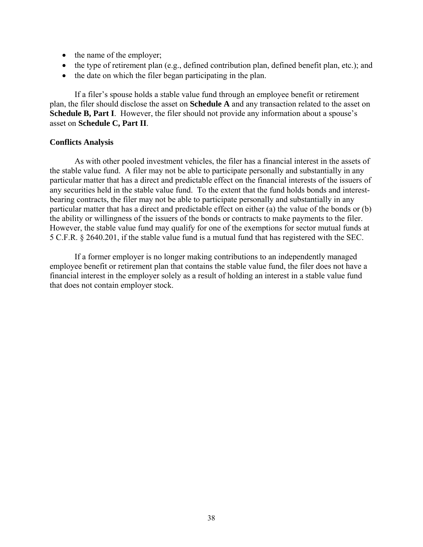- the name of the employer;
- the type of retirement plan (e.g., defined contribution plan, defined benefit plan, etc.); and
- the date on which the filer began participating in the plan.

If a filer's spouse holds a stable value fund through an employee benefit or retirement plan, the filer should disclose the asset on **Schedule A** and any transaction related to the asset on **Schedule B, Part I**. However, the filer should not provide any information about a spouse's asset on **Schedule C, Part II**.

#### **Conflicts Analysis**

As with other pooled investment vehicles, the filer has a financial interest in the assets of the stable value fund. A filer may not be able to participate personally and substantially in any particular matter that has a direct and predictable effect on the financial interests of the issuers of any securities held in the stable value fund. To the extent that the fund holds bonds and interestbearing contracts, the filer may not be able to participate personally and substantially in any particular matter that has a direct and predictable effect on either (a) the value of the bonds or (b) the ability or willingness of the issuers of the bonds or contracts to make payments to the filer. However, the stable value fund may qualify for one of the exemptions for sector mutual funds at 5 C.F.R. § 2640.201, if the stable value fund is a mutual fund that has registered with the SEC.

If a former employer is no longer making contributions to an independently managed employee benefit or retirement plan that contains the stable value fund, the filer does not have a financial interest in the employer solely as a result of holding an interest in a stable value fund that does not contain employer stock.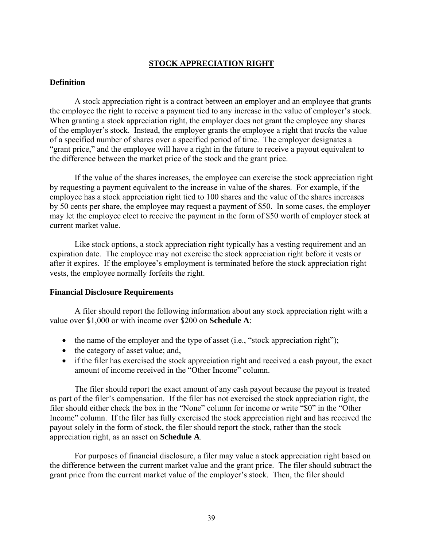## **STOCK APPRECIATION RIGHT**

#### <span id="page-40-0"></span>**Definition**

A stock appreciation right is a contract between an employer and an employee that grants the employee the right to receive a payment tied to any increase in the value of employer's stock. When granting a stock appreciation right, the employer does not grant the employee any shares of the employer's stock. Instead, the employer grants the employee a right that *tracks* the value of a specified number of shares over a specified period of time. The employer designates a "grant price," and the employee will have a right in the future to receive a payout equivalent to the difference between the market price of the stock and the grant price.

If the value of the shares increases, the employee can exercise the stock appreciation right by requesting a payment equivalent to the increase in value of the shares. For example, if the employee has a stock appreciation right tied to 100 shares and the value of the shares increases by 50 cents per share, the employee may request a payment of \$50. In some cases, the employer may let the employee elect to receive the payment in the form of \$50 worth of employer stock at current market value.

Like stock options, a stock appreciation right typically has a vesting requirement and an expiration date. The employee may not exercise the stock appreciation right before it vests or after it expires. If the employee's employment is terminated before the stock appreciation right vests, the employee normally forfeits the right.

#### **Financial Disclosure Requirements**

A filer should report the following information about any stock appreciation right with a value over \$1,000 or with income over \$200 on **Schedule A**:

- the name of the employer and the type of asset (i.e., "stock appreciation right");
- the category of asset value; and,
- if the filer has exercised the stock appreciation right and received a cash payout, the exact amount of income received in the "Other Income" column.

The filer should report the exact amount of any cash payout because the payout is treated as part of the filer's compensation. If the filer has not exercised the stock appreciation right, the filer should either check the box in the "None" column for income or write "\$0" in the "Other Income" column. If the filer has fully exercised the stock appreciation right and has received the payout solely in the form of stock, the filer should report the stock, rather than the stock appreciation right, as an asset on **Schedule A**.

For purposes of financial disclosure, a filer may value a stock appreciation right based on the difference between the current market value and the grant price. The filer should subtract the grant price from the current market value of the employer's stock. Then, the filer should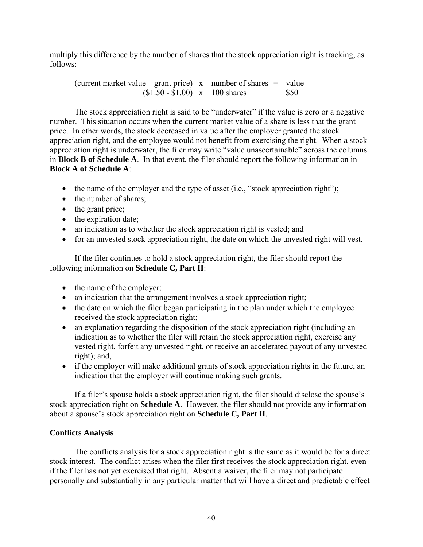multiply this difference by the number of shares that the stock appreciation right is tracking, as follows:

(current market value – grant price)  $x$  number of shares = value  $$1.50 - $1.00$  x 100 shares = \$50

The stock appreciation right is said to be "underwater" if the value is zero or a negative number. This situation occurs when the current market value of a share is less that the grant price. In other words, the stock decreased in value after the employer granted the stock appreciation right, and the employee would not benefit from exercising the right. When a stock appreciation right is underwater, the filer may write "value unascertainable" across the columns in **Block B of Schedule A**. In that event, the filer should report the following information in **Block A of Schedule A**:

- the name of the employer and the type of asset (i.e., "stock appreciation right");
- the number of shares:
- the grant price;
- the expiration date;
- an indication as to whether the stock appreciation right is vested; and
- for an unvested stock appreciation right, the date on which the unvested right will vest.

If the filer continues to hold a stock appreciation right, the filer should report the following information on **Schedule C, Part II**:

- the name of the employer;
- an indication that the arrangement involves a stock appreciation right;
- the date on which the filer began participating in the plan under which the employee received the stock appreciation right;
- an explanation regarding the disposition of the stock appreciation right (including an indication as to whether the filer will retain the stock appreciation right, exercise any vested right, forfeit any unvested right, or receive an accelerated payout of any unvested right); and,
- if the employer will make additional grants of stock appreciation rights in the future, an indication that the employer will continue making such grants.

If a filer's spouse holds a stock appreciation right, the filer should disclose the spouse's stock appreciation right on **Schedule A**. However, the filer should not provide any information about a spouse's stock appreciation right on **Schedule C, Part II**.

## **Conflicts Analysis**

The conflicts analysis for a stock appreciation right is the same as it would be for a direct stock interest. The conflict arises when the filer first receives the stock appreciation right, even if the filer has not yet exercised that right. Absent a waiver, the filer may not participate personally and substantially in any particular matter that will have a direct and predictable effect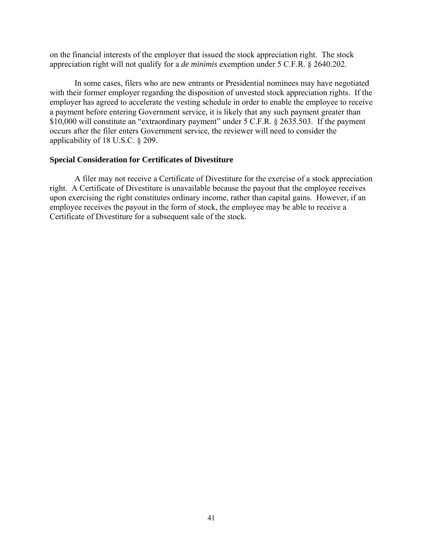on the financial interests of the employer that issued the stock appreciation right. The stock appreciation right will not qualify for a *de minimis* exemption under 5 C.F.R. § 2640.202.

In some cases, filers who are new entrants or Presidential nominees may have negotiated with their former employer regarding the disposition of unvested stock appreciation rights. If the employer has agreed to accelerate the vesting schedule in order to enable the employee to receive a payment before entering Government service, it is likely that any such payment greater than \$10,000 will constitute an "extraordinary payment" under 5 C.F.R. § 2635.503. If the payment occurs after the filer enters Government service, the reviewer will need to consider the applicability of 18 U.S.C. § 209.

#### **Special Consideration for Certificates of Divestiture**

A filer may not receive a Certificate of Divestiture for the exercise of a stock appreciation right. A Certificate of Divestiture is unavailable because the payout that the employee receives upon exercising the right constitutes ordinary income, rather than capital gains. However, if an employee receives the payout in the form of stock, the employee may be able to receive a Certificate of Divestiture for a subsequent sale of the stock.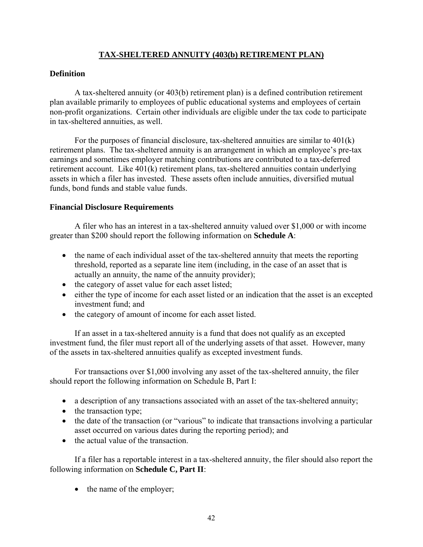## **TAX-SHELTERED ANNUITY (403(b) RETIREMENT PLAN)**

## <span id="page-43-0"></span>**Definition**

A tax-sheltered annuity (or 403(b) retirement plan) is a defined contribution retirement plan available primarily to employees of public educational systems and employees of certain non-profit organizations. Certain other individuals are eligible under the tax code to participate in tax-sheltered annuities, as well.

For the purposes of financial disclosure, tax-sheltered annuities are similar to 401(k) retirement plans. The tax-sheltered annuity is an arrangement in which an employee's pre-tax earnings and sometimes employer matching contributions are contributed to a tax-deferred retirement account. Like 401(k) retirement plans, tax-sheltered annuities contain underlying assets in which a filer has invested. These assets often include annuities, diversified mutual funds, bond funds and stable value funds.

## **Financial Disclosure Requirements**

A filer who has an interest in a tax-sheltered annuity valued over \$1,000 or with income greater than \$200 should report the following information on **Schedule A**:

- the name of each individual asset of the tax-sheltered annuity that meets the reporting threshold, reported as a separate line item (including, in the case of an asset that is actually an annuity, the name of the annuity provider);
- the category of asset value for each asset listed;
- either the type of income for each asset listed or an indication that the asset is an excepted investment fund; and
- the category of amount of income for each asset listed.

If an asset in a tax-sheltered annuity is a fund that does not qualify as an excepted investment fund, the filer must report all of the underlying assets of that asset. However, many of the assets in tax-sheltered annuities qualify as excepted investment funds.

For transactions over \$1,000 involving any asset of the tax-sheltered annuity, the filer should report the following information on Schedule B, Part I:

- a description of any transactions associated with an asset of the tax-sheltered annuity;
- the transaction type;
- the date of the transaction (or "various" to indicate that transactions involving a particular asset occurred on various dates during the reporting period); and
- the actual value of the transaction.

If a filer has a reportable interest in a tax-sheltered annuity, the filer should also report the following information on **Schedule C, Part II**:

• the name of the employer;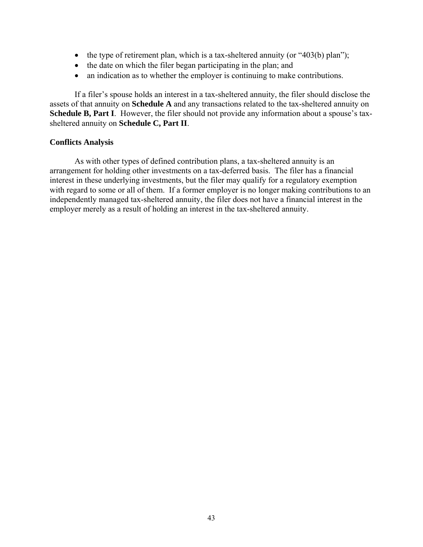- the type of retirement plan, which is a tax-sheltered annuity (or  $403(b)$  plan");
- the date on which the filer began participating in the plan; and
- an indication as to whether the employer is continuing to make contributions.

If a filer's spouse holds an interest in a tax-sheltered annuity, the filer should disclose the assets of that annuity on **Schedule A** and any transactions related to the tax-sheltered annuity on **Schedule B, Part I**. However, the filer should not provide any information about a spouse's taxsheltered annuity on **Schedule C, Part II**.

#### **Conflicts Analysis**

As with other types of defined contribution plans, a tax-sheltered annuity is an arrangement for holding other investments on a tax-deferred basis. The filer has a financial interest in these underlying investments, but the filer may qualify for a regulatory exemption with regard to some or all of them. If a former employer is no longer making contributions to an independently managed tax-sheltered annuity, the filer does not have a financial interest in the employer merely as a result of holding an interest in the tax-sheltered annuity.